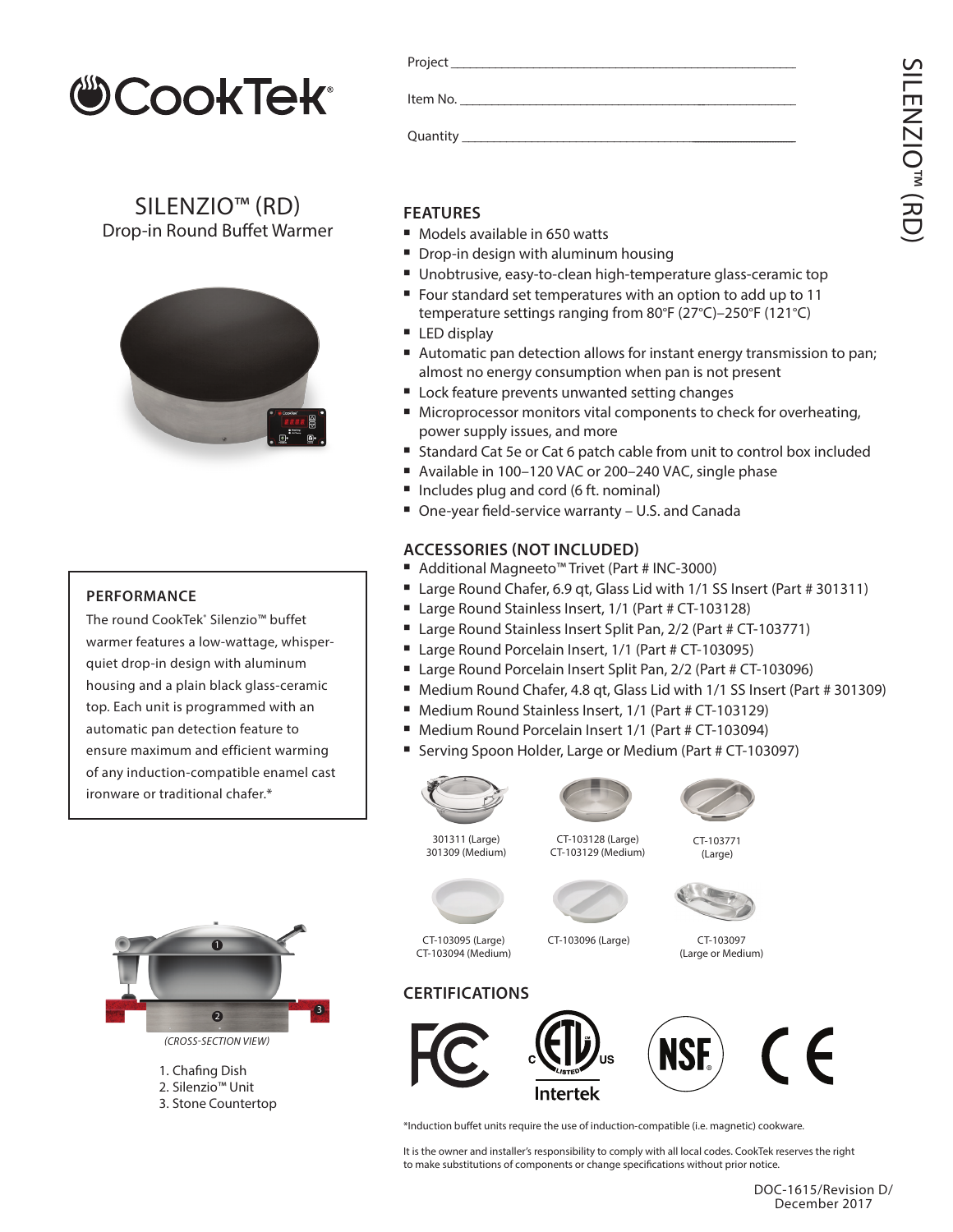

SILENZIO™ (RD) Drop-in Round Buffet Warmer



### Project Item No. Quantity

### **FEATURES**

- Models available in 650 watts
- Drop-in design with aluminum housing
- Unobtrusive, easy-to-clean high-temperature glass-ceramic top
- Four standard set temperatures with an option to add up to 11 temperature settings ranging from 80°F (27°C)–250°F (121°C)
- LED display
- Automatic pan detection allows for instant energy transmission to pan; almost no energy consumption when pan is not present
- **E** Lock feature prevents unwanted setting changes
- Microprocessor monitors vital components to check for overheating, power supply issues, and more
- Standard Cat 5e or Cat 6 patch cable from unit to control box included
- Available in 100-120 VAC or 200-240 VAC, single phase
- Includes plug and cord (6 ft. nominal)
- One-year field-service warranty U.S. and Canada

### **ACCESSORIES (NOT INCLUDED)**

- Additional Magneeto™ Trivet (Part # INC-3000)
- Large Round Chafer, 6.9 qt, Glass Lid with 1/1 SS Insert (Part # 301311)
- Large Round Stainless Insert, 1/1 (Part # CT-103128)
- Large Round Stainless Insert Split Pan, 2/2 (Part # CT-103771)
- Large Round Porcelain Insert, 1/1 (Part # CT-103095)
- Large Round Porcelain Insert Split Pan, 2/2 (Part # CT-103096)
- Medium Round Chafer, 4.8 qt, Glass Lid with 1/1 SS Insert (Part # 301309)
- Medium Round Stainless Insert, 1/1 (Part # CT-103129)
- Medium Round Porcelain Insert 1/1 (Part # CT-103094)
- Serving Spoon Holder, Large or Medium (Part # CT-103097)



301309 (Medium)

301311 (Large)

CT-103128 (Large) CT-103129 (Medium)



CT-103771 (Large)



CT-103095 (Large) CT-103094 (Medium)

CT-103096 (Large)

CT-103097 (Large or Medium)





\*Induction buffet units require the use of induction-compatible (i.e. magnetic) cookware.

It is the owner and installer's responsibility to comply with all local codes. CookTek reserves the right to make substitutions of components or change specifications without prior notice.



**PERFORMANCE**

The round CookTek˚ Silenzio™ buffet warmer features a low-wattage, whisperquiet drop-in design with aluminum housing and a plain black glass-ceramic top. Each unit is programmed with an automatic pan detection feature to ensure maximum and efficient warming



1. Chafing Dish 2. Silenzio™ Unit 3. Stone Countertop